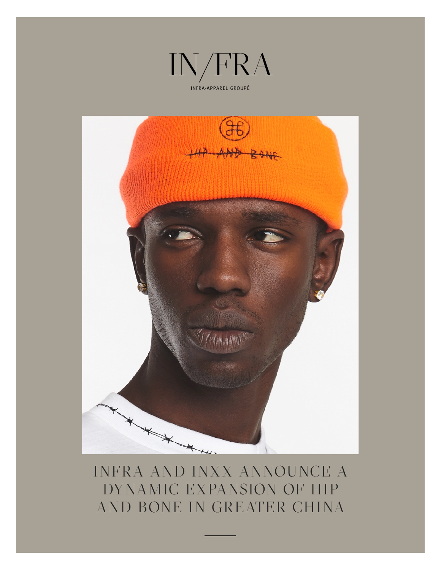



INFRA AND INXX ANNOUNCE A DYNAMIC EXPANSION OF HIP AND BONE IN GREATER CHINA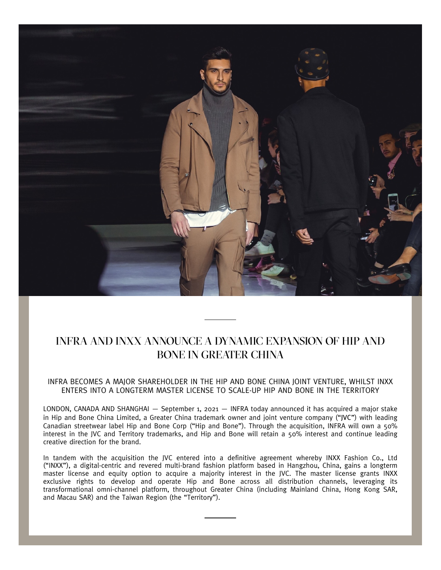

# INFRA AND INXX ANNOUNCE A DYNAMIC EXPANSION OF HIP AND BONE IN GREATER CHINA

#### INFRA BECOMES A MAJOR SHAREHOLDER IN THE HIP AND BONE CHINA JOINT VENTURE, WHILST INXX ENTERS INTO A LONGTERM MASTER LICENSE TO SCALE-UP HIP AND BONE IN THE TERRITORY

LONDON, CANADA AND SHANGHAI — September 1, 2021 — INFRA today announced it has acquired a major stake in Hip and Bone China Limited, a Greater China trademark owner and joint venture company ("JVC") with leading Canadian streetwear label Hip and Bone Corp ("Hip and Bone"). Through the acquisition, INFRA will own a 50% interest in the JVC and Territory trademarks, and Hip and Bone will retain a 50% interest and continue leading creative direction for the brand.

In tandem with the acquisition the JVC entered into a definitive agreement whereby INXX Fashion Co., Ltd ("INXX"), a digital-centric and revered multi-brand fashion platform based in Hangzhou, China, gains a longterm master license and equity option to acquire a majority interest in the JVC. The master license grants INXX exclusive rights to develop and operate Hip and Bone across all distribution channels, leveraging its transformational omni-channel platform, throughout Greater China (including Mainland China, Hong Kong SAR, and Macau SAR) and the Taiwan Region (the "Territory").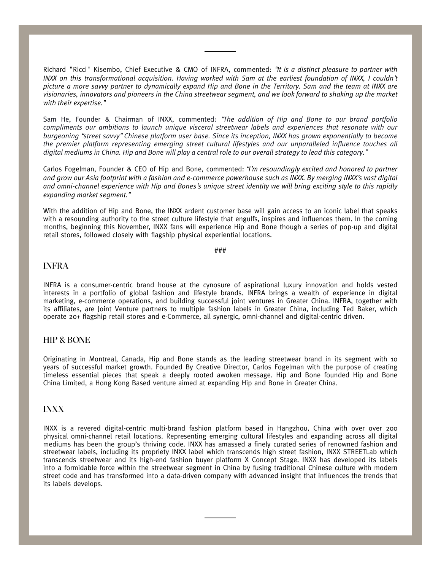Richard "Ricci" Kisembo, Chief Executive & CMO of INFRA, commented: *"It is a distinct pleasure to partner with INXX on this transformational acquisition. Having worked with Sam at the earliest foundation of INXX, I couldn't picture a more savvy partner to dynamically expand Hip and Bone in the Territory. Sam and the team at INXX are visionaries, innovators and pioneers in the China streetwear segment, and we look forward to shaking up the market with their expertise."*

Sam He, Founder & Chairman of INXX, commented: *"The addition of Hip and Bone to our brand portfolio compliments our ambitions to launch unique visceral streetwear labels and experiences that resonate with our burgeoning "street savvy" Chinese platform user base. Since its inception, INXX has grown exponentially to become the premier platform representing emerging street cultural lifestyles and our unparalleled influence touches all digital mediums in China. Hip and Bone will play a central role to our overall strategy to lead this category."*

Carlos Fogelman, Founder & CEO of Hip and Bone, commented: *"I'm resoundingly excited and honored to partner and grow our Asia footprint with a fashion and e-commerce powerhouse such as INXX. By merging INXX's vast digital and omni-channel experience with Hip and Bones's unique street identity we will bring exciting style to this rapidly expanding market segment."*

With the addition of Hip and Bone, the INXX ardent customer base will gain access to an iconic label that speaks with a resounding authority to the street culture lifestyle that engulfs, inspires and influences them. In the coming months, beginning this November, INXX fans will experience Hip and Bone though a series of pop-up and digital retail stores, followed closely with flagship physical experiential locations.

###

#### INFRA

INFRA is a consumer-centric brand house at the cynosure of aspirational luxury innovation and holds vested interests in a portfolio of global fashion and lifestyle brands. INFRA brings a wealth of experience in digital marketing, e-commerce operations, and building successful joint ventures in Greater China. INFRA, together with its affiliates, are Joint Venture partners to multiple fashion labels in Greater China, including Ted Baker, which operate 20+ flagship retail stores and e-Commerce, all synergic, omni-channel and digital-centric driven.

#### HIP & BONE

Originating in Montreal, Canada, Hip and Bone stands as the leading streetwear brand in its segment with 10 years of successful market growth. Founded By Creative Director, Carlos Fogelman with the purpose of creating timeless essential pieces that speak a deeply rooted awoken message. Hip and Bone founded Hip and Bone China Limited, a Hong Kong Based venture aimed at expanding Hip and Bone in Greater China.

#### INXX

INXX is a revered digital-centric multi-brand fashion platform based in Hangzhou, China with over over 200 physical omni-channel retail locations. Representing emerging cultural lifestyles and expanding across all digital mediums has been the group's thriving code. INXX has amassed a finely curated series of renowned fashion and streetwear labels, including its propriety INXX label which transcends high street fashion, INXX STREETLab which transcends streetwear and its high-end fashion buyer platform X Concept Stage. INXX has developed its labels into a formidable force within the streetwear segment in China by fusing traditional Chinese culture with modern street code and has transformed into a data-driven company with advanced insight that influences the trends that its labels develops.